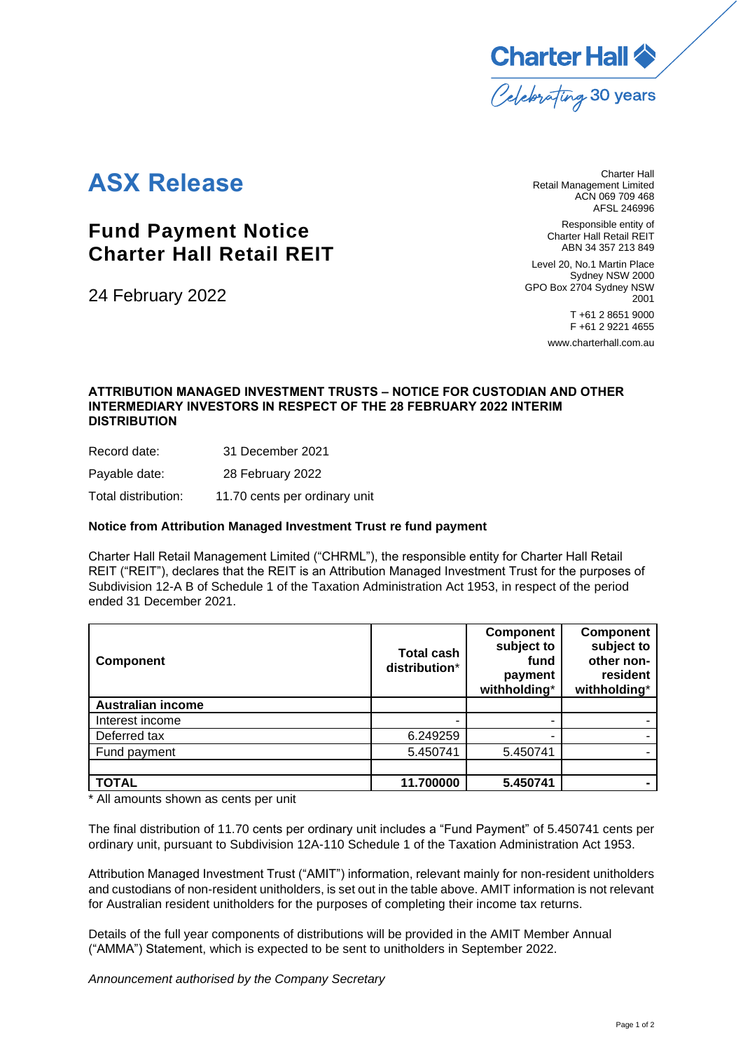

# **ASX Release**

## **Fund Payment Notice Charter Hall Retail REIT**

24 February 2022

Charter Hall Retail Management Limited ACN 069 709 468 AFSL 246996

> Responsible entity of Charter Hall Retail REIT ABN 34 357 213 849

Level 20, No.1 Martin Place Sydney NSW 2000 GPO Box 2704 Sydney NSW 2001 T +61 2 8651 9000 F +61 2 9221 4655

[www.charterhall.com.au](http://www.charterhall.com.au/)

### **ATTRIBUTION MANAGED INVESTMENT TRUSTS – NOTICE FOR CUSTODIAN AND OTHER INTERMEDIARY INVESTORS IN RESPECT OF THE 28 FEBRUARY 2022 INTERIM DISTRIBUTION**

Record date: 31 December 2021

Payable date: 28 February 2022

Total distribution: 11.70 cents per ordinary unit

#### **Notice from Attribution Managed Investment Trust re fund payment**

Charter Hall Retail Management Limited ("CHRML"), the responsible entity for Charter Hall Retail REIT ("REIT"), declares that the REIT is an Attribution Managed Investment Trust for the purposes of Subdivision 12-A B of Schedule 1 of the Taxation Administration Act 1953, in respect of the period ended 31 December 2021.

| Component                | <b>Total cash</b><br>distribution* | <b>Component</b><br>subject to<br>fund<br>payment<br>withholding* | <b>Component</b><br>subject to<br>other non-<br>resident<br>withholding* |
|--------------------------|------------------------------------|-------------------------------------------------------------------|--------------------------------------------------------------------------|
| <b>Australian income</b> |                                    |                                                                   |                                                                          |
| Interest income          |                                    |                                                                   |                                                                          |
| Deferred tax             | 6.249259                           |                                                                   |                                                                          |
| Fund payment             | 5.450741                           | 5.450741                                                          |                                                                          |
|                          |                                    |                                                                   |                                                                          |
| <b>TOTAL</b>             | 11.700000                          | 5.450741                                                          |                                                                          |

\* All amounts shown as cents per unit

The final distribution of 11.70 cents per ordinary unit includes a "Fund Payment" of 5.450741 cents per ordinary unit, pursuant to Subdivision 12A-110 Schedule 1 of the Taxation Administration Act 1953.

Attribution Managed Investment Trust ("AMIT") information, relevant mainly for non-resident unitholders and custodians of non-resident unitholders, is set out in the table above. AMIT information is not relevant for Australian resident unitholders for the purposes of completing their income tax returns.

Details of the full year components of distributions will be provided in the AMIT Member Annual ("AMMA") Statement, which is expected to be sent to unitholders in September 2022.

*Announcement authorised by the Company Secretary*